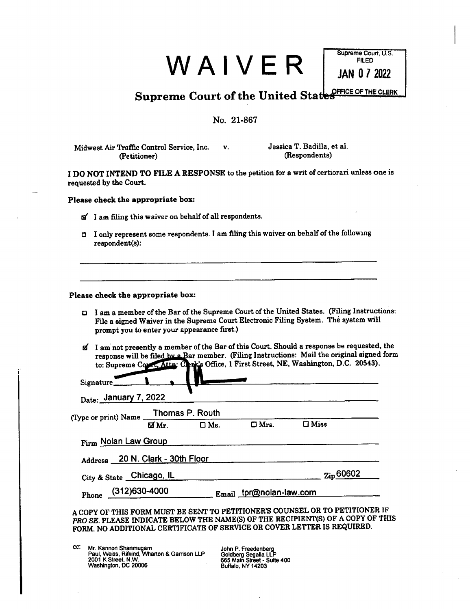| WAIVER |  |  |  |  |
|--------|--|--|--|--|
|--------|--|--|--|--|

**Supreme Court, U.S. FILED JAN 0 7 2022** 

**Supreme Court of the United State STRICE OF THE CLERK** 

# **No. 21.867**

**Midwest Air Traffic Control Service, Inc. v. Jessica T. Badilla, et al. (Petitioner) (Respondents)** 

**I DO NOT INTEND TO FILE A RESPONSE to the petition for a writ of certiorari unless one is requested by the Court.** 

**Please check the appropriate box:** 

- **<sup>a</sup>' I am filing this waiver on behalf of all respondents.**
- **I only represent some respondents. I am filing this waiver on behalf of the following respondent(s):**

# **Please check the appropriate box:**

- **I am a member of the Bar of the Supreme Court of the United States. (Filing Instructions: File a signed Waiver in the Supreme Court Electronic Filing System. The system will prompt you to enter your appearance first.)**
- **td I am not presently a member of the Bar of this Court. Should a response be requested, the**  response will be filed hy a Bar member. (Filing Instructions: Mail the original signed form to: Supreme Count, Attn: Cenk's Office, 1 First Street, NE, Washington, D.C. 20543).

| Date: January 7, 2022                                                       |  |                         |                    |
|-----------------------------------------------------------------------------|--|-------------------------|--------------------|
| (Type or print) Name $\frac{\text{Thomas } P. \text{ Routh}}{\text{W Mr.}}$ |  |                         |                    |
|                                                                             |  | $\Box$ $\Box$ Mrs.      | $\Box$ Miss        |
| Firm Nolan Law Group                                                        |  |                         |                    |
| Address 20 N. Clark - 30th Floor                                            |  |                         |                    |
| City & State Chicago, IL                                                    |  |                         | $_{\rm Zip}$ 60602 |
| Phone $(312)630-4000$                                                       |  | Email tpr@nolan-law.com |                    |

**FORM. NO ADDITIONAL CERTIFICATE OF SERVICE OR COVER LETTER IS REQUIRED.** 

CC: **Mr. Kennon Shanmugam Paul, Weiss, Rifkind, Wharton & Garrison LLP 2001 K Street, N.W. Washington, DC 20006** 

**John P. Freedenberg Goldberg Segalla LLP 665 Main Street - Suite 400 Buffalo, NY 14203**